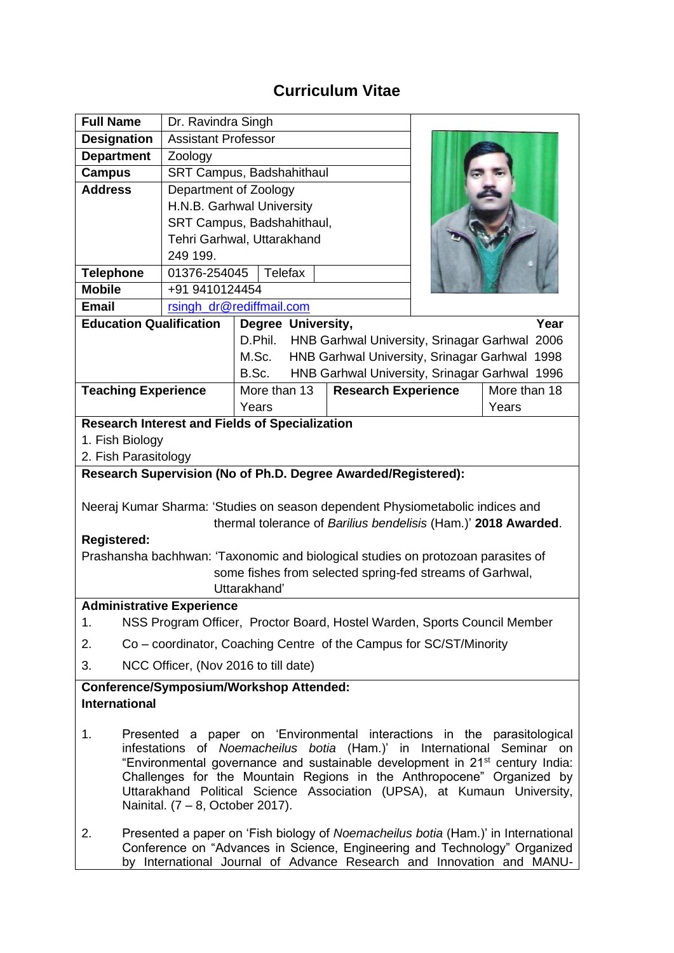## **Curriculum Vitae**

| <b>Full Name</b>                                                                 | Dr. Ravindra Singh                                                                                                                                |              |                                                          |                                               |              |  |
|----------------------------------------------------------------------------------|---------------------------------------------------------------------------------------------------------------------------------------------------|--------------|----------------------------------------------------------|-----------------------------------------------|--------------|--|
| <b>Designation</b>                                                               | <b>Assistant Professor</b>                                                                                                                        |              |                                                          |                                               |              |  |
| <b>Department</b>                                                                | Zoology                                                                                                                                           |              |                                                          |                                               |              |  |
| <b>Campus</b>                                                                    | SRT Campus, Badshahithaul                                                                                                                         |              |                                                          |                                               |              |  |
| <b>Address</b>                                                                   | Department of Zoology                                                                                                                             |              |                                                          |                                               |              |  |
|                                                                                  | H.N.B. Garhwal University                                                                                                                         |              |                                                          |                                               |              |  |
|                                                                                  | SRT Campus, Badshahithaul,                                                                                                                        |              |                                                          |                                               |              |  |
|                                                                                  | Tehri Garhwal, Uttarakhand                                                                                                                        |              |                                                          |                                               |              |  |
|                                                                                  | 249 199.                                                                                                                                          |              |                                                          |                                               |              |  |
| <b>Telephone</b>                                                                 | Telefax<br>01376-254045                                                                                                                           |              |                                                          |                                               |              |  |
| <b>Mobile</b>                                                                    | +91 9410124454                                                                                                                                    |              |                                                          |                                               |              |  |
| <b>Email</b>                                                                     | rsingh_dr@rediffmail.com                                                                                                                          |              |                                                          |                                               |              |  |
| <b>Education Qualification</b><br>Degree University,<br>Year                     |                                                                                                                                                   |              |                                                          |                                               |              |  |
|                                                                                  |                                                                                                                                                   |              | D.Phil.<br>HNB Garhwal University, Srinagar Garhwal 2006 |                                               |              |  |
|                                                                                  | HNB Garhwal University, Srinagar Garhwal 1998<br>M.Sc.                                                                                            |              |                                                          |                                               |              |  |
|                                                                                  |                                                                                                                                                   | B.Sc.        |                                                          | HNB Garhwal University, Srinagar Garhwal 1996 |              |  |
| <b>Teaching Experience</b>                                                       |                                                                                                                                                   | More than 13 | <b>Research Experience</b>                               |                                               | More than 18 |  |
|                                                                                  |                                                                                                                                                   | Years        |                                                          |                                               | Years        |  |
| <b>Research Interest and Fields of Specialization</b>                            |                                                                                                                                                   |              |                                                          |                                               |              |  |
| 1. Fish Biology                                                                  |                                                                                                                                                   |              |                                                          |                                               |              |  |
| 2. Fish Parasitology                                                             |                                                                                                                                                   |              |                                                          |                                               |              |  |
| Research Supervision (No of Ph.D. Degree Awarded/Registered):                    |                                                                                                                                                   |              |                                                          |                                               |              |  |
|                                                                                  |                                                                                                                                                   |              |                                                          |                                               |              |  |
| Neeraj Kumar Sharma: 'Studies on season dependent Physiometabolic indices and    |                                                                                                                                                   |              |                                                          |                                               |              |  |
| thermal tolerance of Barilius bendelisis (Ham.)' 2018 Awarded.                   |                                                                                                                                                   |              |                                                          |                                               |              |  |
| <b>Registered:</b>                                                               |                                                                                                                                                   |              |                                                          |                                               |              |  |
| Prashansha bachhwan: 'Taxonomic and biological studies on protozoan parasites of |                                                                                                                                                   |              |                                                          |                                               |              |  |
| some fishes from selected spring-fed streams of Garhwal,<br>Uttarakhand'         |                                                                                                                                                   |              |                                                          |                                               |              |  |
| <b>Administrative Experience</b>                                                 |                                                                                                                                                   |              |                                                          |                                               |              |  |
| NSS Program Officer, Proctor Board, Hostel Warden, Sports Council Member<br>1.   |                                                                                                                                                   |              |                                                          |                                               |              |  |
|                                                                                  |                                                                                                                                                   |              |                                                          |                                               |              |  |
| 2.                                                                               | Co – coordinator, Coaching Centre of the Campus for SC/ST/Minority                                                                                |              |                                                          |                                               |              |  |
| NCC Officer, (Nov 2016 to till date)<br>3.                                       |                                                                                                                                                   |              |                                                          |                                               |              |  |
| <b>Conference/Symposium/Workshop Attended:</b>                                   |                                                                                                                                                   |              |                                                          |                                               |              |  |
| <b>International</b>                                                             |                                                                                                                                                   |              |                                                          |                                               |              |  |
| 1.                                                                               |                                                                                                                                                   |              |                                                          |                                               |              |  |
|                                                                                  | Presented a paper on 'Environmental interactions in the parasitological<br>infestations of Noemacheilus botia (Ham.)' in International Seminar on |              |                                                          |                                               |              |  |
|                                                                                  | "Environmental governance and sustainable development in 21 <sup>st</sup> century India:                                                          |              |                                                          |                                               |              |  |
|                                                                                  | Challenges for the Mountain Regions in the Anthropocene" Organized by                                                                             |              |                                                          |                                               |              |  |
|                                                                                  | Uttarakhand Political Science Association (UPSA), at Kumaun University,                                                                           |              |                                                          |                                               |              |  |
|                                                                                  | Nainital. $(7 - 8, October 2017)$ .                                                                                                               |              |                                                          |                                               |              |  |
| 2.                                                                               | Presented a paper on 'Fish biology of Noemacheilus botia (Ham.)' in International                                                                 |              |                                                          |                                               |              |  |
|                                                                                  | Conference on "Advances in Science, Engineering and Technology" Organized                                                                         |              |                                                          |                                               |              |  |
|                                                                                  | by International Journal of Advance Research and Innovation and MANU-                                                                             |              |                                                          |                                               |              |  |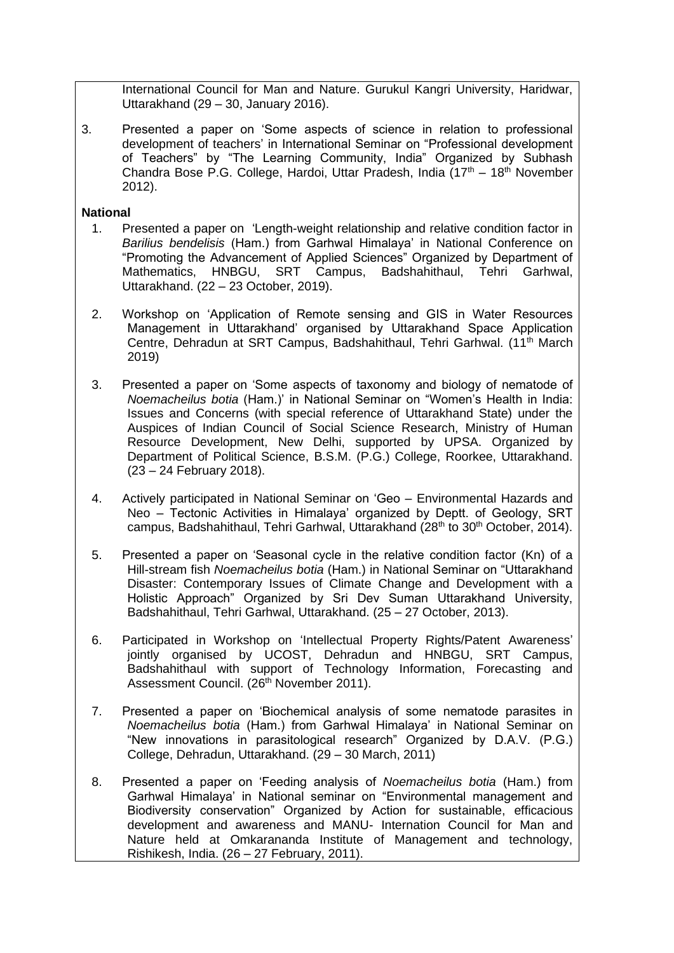International Council for Man and Nature. Gurukul Kangri University, Haridwar, Uttarakhand (29 – 30, January 2016).

3. Presented a paper on 'Some aspects of science in relation to professional development of teachers' in International Seminar on "Professional development of Teachers" by "The Learning Community, India" Organized by Subhash Chandra Bose P.G. College, Hardoi, Uttar Pradesh, India  $(17<sup>th</sup> - 18<sup>th</sup>$  November 2012).

## **National**

- 1. Presented a paper on 'Length-weight relationship and relative condition factor in *Barilius bendelisis* (Ham.) from Garhwal Himalaya' in National Conference on "Promoting the Advancement of Applied Sciences" Organized by Department of Mathematics, HNBGU, SRT Campus, Badshahithaul, Tehri Garhwal, Uttarakhand. (22 – 23 October, 2019).
- 2. Workshop on 'Application of Remote sensing and GIS in Water Resources Management in Uttarakhand' organised by Uttarakhand Space Application Centre, Dehradun at SRT Campus, Badshahithaul, Tehri Garhwal. (11<sup>th</sup> March 2019)
- 3. Presented a paper on 'Some aspects of taxonomy and biology of nematode of *Noemacheilus botia* (Ham.)' in National Seminar on "Women's Health in India: Issues and Concerns (with special reference of Uttarakhand State) under the Auspices of Indian Council of Social Science Research, Ministry of Human Resource Development, New Delhi, supported by UPSA. Organized by Department of Political Science, B.S.M. (P.G.) College, Roorkee, Uttarakhand. (23 – 24 February 2018).
- 4. Actively participated in National Seminar on 'Geo Environmental Hazards and Neo – Tectonic Activities in Himalaya' organized by Deptt. of Geology, SRT campus, Badshahithaul, Tehri Garhwal, Uttarakhand (28<sup>th</sup> to 30<sup>th</sup> October, 2014).
- 5. Presented a paper on 'Seasonal cycle in the relative condition factor (Kn) of a Hill-stream fish *Noemacheilus botia* (Ham.) in National Seminar on "Uttarakhand Disaster: Contemporary Issues of Climate Change and Development with a Holistic Approach" Organized by Sri Dev Suman Uttarakhand University, Badshahithaul, Tehri Garhwal, Uttarakhand. (25 – 27 October, 2013).
- 6. Participated in Workshop on 'Intellectual Property Rights/Patent Awareness' jointly organised by UCOST, Dehradun and HNBGU, SRT Campus, Badshahithaul with support of Technology Information, Forecasting and Assessment Council. (26<sup>th</sup> November 2011).
- 7. Presented a paper on 'Biochemical analysis of some nematode parasites in *Noemacheilus botia* (Ham.) from Garhwal Himalaya' in National Seminar on "New innovations in parasitological research" Organized by D.A.V. (P.G.) College, Dehradun, Uttarakhand. (29 – 30 March, 2011)
- 8. Presented a paper on 'Feeding analysis of *Noemacheilus botia* (Ham.) from Garhwal Himalaya' in National seminar on "Environmental management and Biodiversity conservation" Organized by Action for sustainable, efficacious development and awareness and MANU- Internation Council for Man and Nature held at Omkarananda Institute of Management and technology, Rishikesh, India. (26 – 27 February, 2011).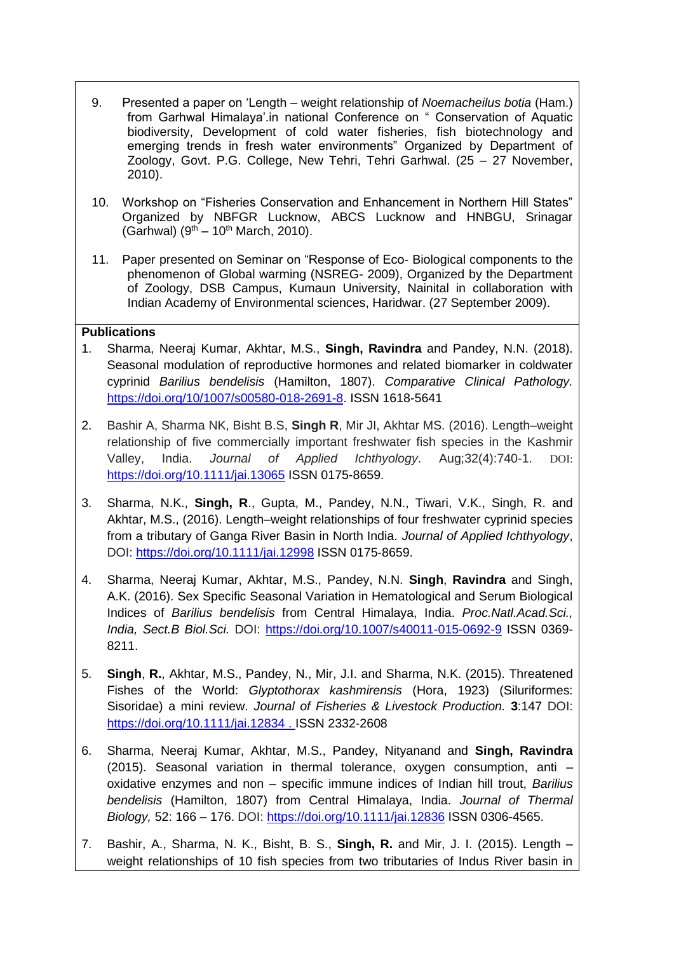- 9. Presented a paper on 'Length weight relationship of *Noemacheilus botia* (Ham.) from Garhwal Himalaya'.in national Conference on " Conservation of Aquatic biodiversity, Development of cold water fisheries, fish biotechnology and emerging trends in fresh water environments" Organized by Department of Zoology, Govt. P.G. College, New Tehri, Tehri Garhwal. (25 – 27 November, 2010).
- 10. Workshop on "Fisheries Conservation and Enhancement in Northern Hill States" Organized by NBFGR Lucknow, ABCS Lucknow and HNBGU, Srinagar (Garhwal)  $(9^{th} - 10^{th}$  March, 2010).
- 11. Paper presented on Seminar on "Response of Eco- Biological components to the phenomenon of Global warming (NSREG- 2009), Organized by the Department of Zoology, DSB Campus, Kumaun University, Nainital in collaboration with Indian Academy of Environmental sciences, Haridwar. (27 September 2009).

## **Publications**

- 1. Sharma, Neeraj Kumar, Akhtar, M.S., **Singh, Ravindra** and Pandey, N.N. (2018). Seasonal modulation of reproductive hormones and related biomarker in coldwater cyprinid *Barilius bendelisis* (Hamilton, 1807). *Comparative Clinical Pathology.* [https://doi.org/10/1007/s00580-018-2691-8.](https://doi.org/10/1007/s00580-018-2691-8) ISSN 1618-5641
- 2. Bashir A, Sharma NK, Bisht B.S, **Singh R**, Mir JI, Akhtar MS. (2016). Length–weight relationship of five commercially important freshwater fish species in the Kashmir Valley, India. *Journal of Applied Ichthyology*. Aug;32(4):740-1. DOI: <https://doi.org/10.1111/jai.13065> ISSN 0175-8659.
- 3. Sharma, N.K., **Singh, R**., Gupta, M., Pandey, N.N., Tiwari, V.K., Singh, R. and Akhtar, M.S., (2016). Length–weight relationships of four freshwater cyprinid species from a tributary of Ganga River Basin in North India. *Journal of Applied Ichthyology*, DOI: [https://doi.org/10.1111/jai.12998](https://doi.org/10.1111/jai.12998%20ISSN%200175-8659) ISSN 0175-8659.
- 4. Sharma, Neeraj Kumar, Akhtar, M.S., Pandey, N.N. **Singh**, **Ravindra** and Singh, A.K. (2016). Sex Specific Seasonal Variation in Hematological and Serum Biological Indices of *Barilius bendelisis* from Central Himalaya, India. *Proc.Natl.Acad.Sci., India, Sect.B Biol.Sci.* DOI:<https://doi.org/10.1007/s40011-015-0692-9> ISSN 0369- 8211.
- 5. **Singh**, **R.**, Akhtar, M.S., Pandey, N., Mir, J.I. and Sharma, N.K. (2015). Threatened Fishes of the World: *Glyptothorax kashmirensis* (Hora, 1923) (Siluriformes: Sisoridae) a mini review. *Journal of Fisheries & Livestock Production.* **3**:147 DOI: [https://doi.org/10.1111/jai.12834](https://doi.org/10.1111/jai.12834%20.%20ISSN%202332-2608) . ISSN 2332-2608
- 6. Sharma, Neeraj Kumar, Akhtar, M.S., Pandey, Nityanand and **Singh, Ravindra**  (2015). Seasonal variation in thermal tolerance, oxygen consumption, anti – oxidative enzymes and non – specific immune indices of Indian hill trout, *Barilius bendelisis* (Hamilton, 1807) from Central Himalaya, India. *Journal of Thermal Biology,* 52: 166 – 176. DOI:<https://doi.org/10.1111/jai.12836> ISSN 0306-4565.
- 7. Bashir, A., Sharma, N. K., Bisht, B. S., **Singh, R.** and Mir, J. I. (2015). Length weight relationships of 10 fish species from two tributaries of Indus River basin in